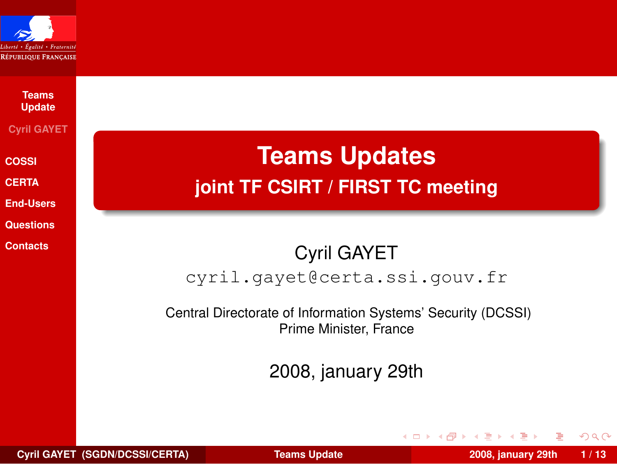

### **Teams [Update](#page-12-0) Cyril GAYET [COSSI](#page-1-0) [CERTA](#page-3-0)**

**[End-Users](#page-6-0) [Questions](#page-9-0) [Contacts](#page-11-0)**

**Teams Updates joint TF CSIRT / FIRST TC meeting**

### Cyril GAYET cyril.gayet@certa.ssi.gouv.fr

Central Directorate of Information Systems' Security (DCSSI) Prime Minister, France

2008, january 29th

<span id="page-0-0"></span> $QQ$ 

イロト イ母 トイヨ トイヨト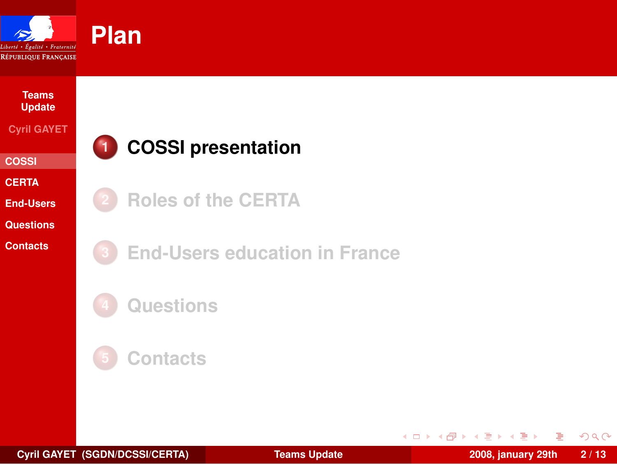

#### **Teams [Update](#page-0-0)**

#### **Cyril GAYET**

- **[COSSI](#page-1-0)**
- **[CERTA](#page-3-0)**
- **[End-Users](#page-6-0)**
- **[Questions](#page-9-0)**
- **[Contacts](#page-11-0)**

## **1 [COSSI presentation](#page-1-0)**

- **2 [Roles of the CERTA](#page-3-0)**
- **3 [End-Users education in France](#page-6-0)**
- **4 [Questions](#page-9-0)**



Ε

<span id="page-1-0"></span> $299$ 

 $\left\{ \begin{array}{ccc} 1 & 0 & 0 \\ 0 & 1 & 0 \end{array} \right\}$  ,  $\left\{ \begin{array}{ccc} 0 & 0 & 0 \\ 0 & 0 & 0 \end{array} \right\}$  ,  $\left\{ \begin{array}{ccc} 0 & 0 & 0 \\ 0 & 0 & 0 \end{array} \right\}$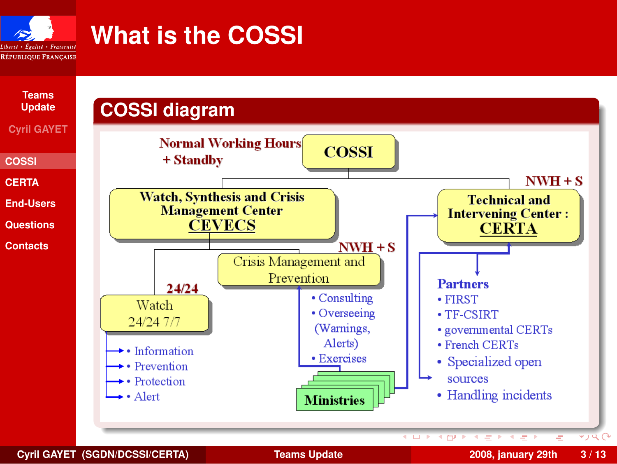

# **What is the COSSI**



**Cyril GAYET (SGDN/DCSSI/CERTA) [Teams Update](#page-0-0) 2008, january 29th 3 / 13**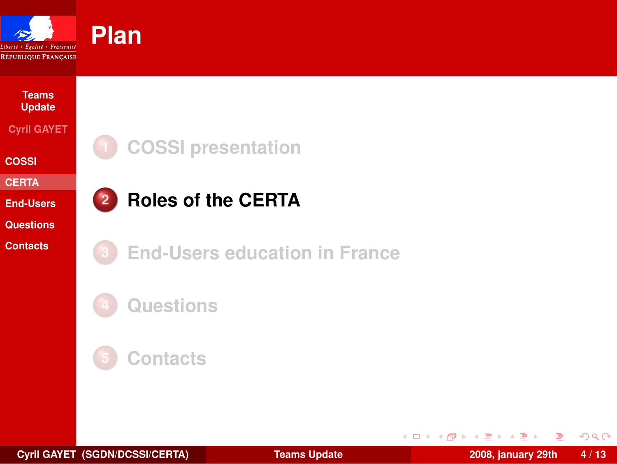

#### **Teams [Update](#page-0-0) Cyril GAYET**

**[COSSI](#page-1-0)**

**[CERTA](#page-3-0)**

**[End-Users](#page-6-0)**

**[Questions](#page-9-0)**

**[Contacts](#page-11-0)**



## **2 [Roles of the CERTA](#page-3-0)**



**3 [End-Users education in France](#page-6-0)**





Ε

<span id="page-3-0"></span> $299$ 

 $\left\{ \begin{array}{ccc} 1 & 0 & 0 \\ 0 & 1 & 0 \end{array} \right\}$  ,  $\left\{ \begin{array}{ccc} 0 & 0 & 0 \\ 0 & 0 & 0 \end{array} \right\}$  ,  $\left\{ \begin{array}{ccc} 0 & 0 & 0 \\ 0 & 0 & 0 \end{array} \right\}$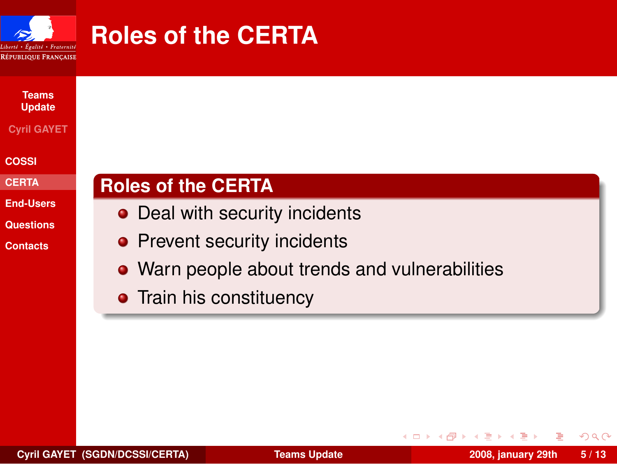

## **Roles of the CERTA**



#### **Cyril GAYET**

**[COSSI](#page-1-0)**

**[CERTA](#page-3-0)**

**[End-Users](#page-6-0)**

**[Questions](#page-9-0)**

**[Contacts](#page-11-0)**

### **Roles of the CERTA**

- Deal with security incidents
- Prevent security incidents
- Warn people about trends and vulnerabilities
- Train his constituency

 $QQ$ 

イロト イ母 トイヨ トイヨト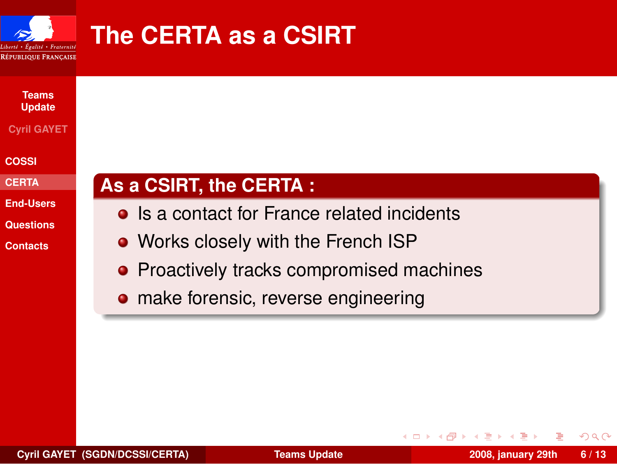

# **The CERTA as a CSIRT**



#### **Cyril GAYET**

**[COSSI](#page-1-0)**

**[CERTA](#page-3-0)**

**[End-Users](#page-6-0)**

**[Questions](#page-9-0)**

**[Contacts](#page-11-0)**

### **As a CSIRT, the CERTA :**

- Is a contact for France related incidents
- Works closely with the French ISP
- Proactively tracks compromised machines
- make forensic, reverse engineering

 $\Omega$ 

- イラト イラト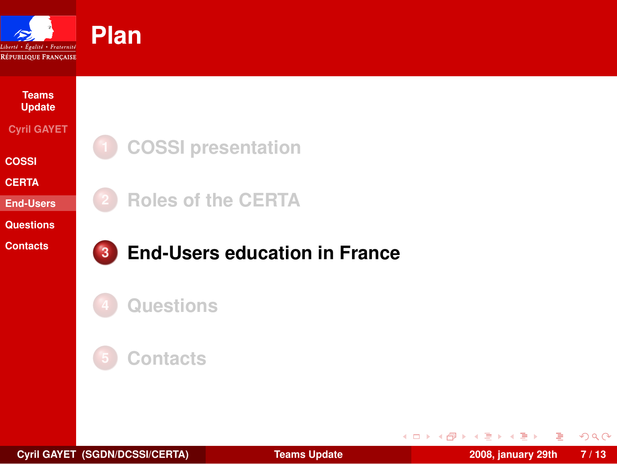

### **[Update](#page-0-0) Cyril GAYET [COSSI](#page-1-0)**

**Teams**

**[CERTA](#page-3-0)**

**[End-Users](#page-6-0)**

**[Questions](#page-9-0)**

**[Contacts](#page-11-0)**



**2 [Roles of the CERTA](#page-3-0)**



### **3 [End-Users education in France](#page-6-0)**





**Cyril GAYET (SGDN/DCSSI/CERTA) [Teams Update](#page-0-0) 2008, january 29th 7 / 13**

Ε

<span id="page-6-0"></span> $299$ 

 $\left\{ \begin{array}{ccc} 1 & 0 & 0 \\ 0 & 1 & 0 \end{array} \right\}$  ,  $\left\{ \begin{array}{ccc} 0 & 0 & 0 \\ 0 & 0 & 0 \end{array} \right\}$  ,  $\left\{ \begin{array}{ccc} 0 & 0 & 0 \\ 0 & 0 & 0 \end{array} \right\}$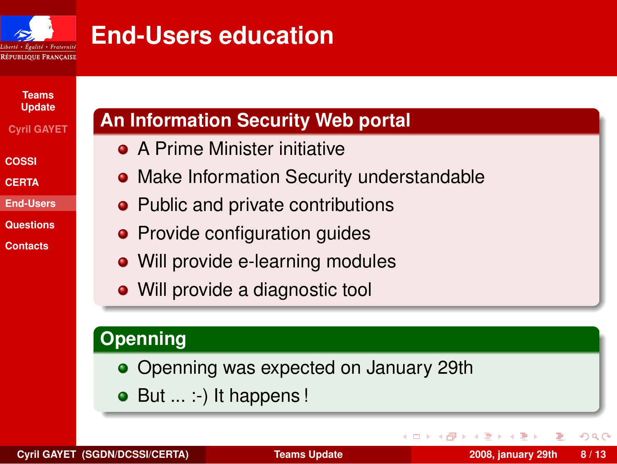

## **End-Users education**

**Teams [Update](#page-0-0)**

**Cyril GAYET**

**[COSSI](#page-1-0)**

- **[CERTA](#page-3-0)**
- **[End-Users](#page-6-0)**
- **[Questions](#page-9-0)**
- **[Contacts](#page-11-0)**

### **An Information Security Web portal**

- **A Prime Minister initiative**
- **Make Information Security understandable**
- Public and private contributions
- Provide configuration guides
- Will provide e-learning modules
- Will provide a diagnostic tool

### **Openning**

- Openning was expected on January 29th
- $\bullet$  But  $\ldots$ : ) It happens !

 $\Omega$ 

14.

**B** B

 $\leftarrow$   $\Box$   $\rightarrow$   $\leftarrow$   $\Box$   $\rightarrow$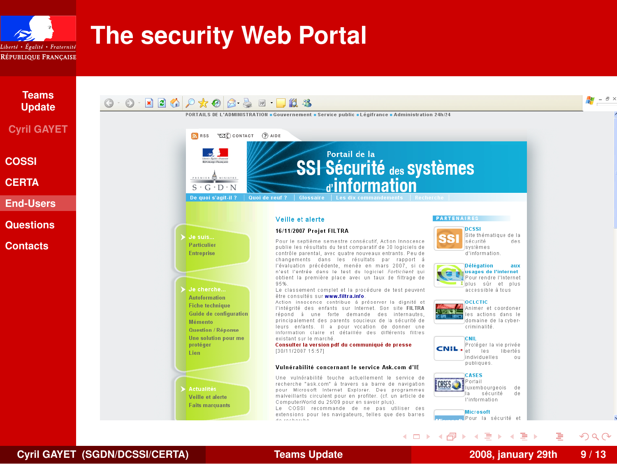

# **The security Web Portal**



**Cyril GAYET (SGDN/DCSSI/CERTA) [Teams Update](#page-0-0) 2008, january 29th 9 / 13**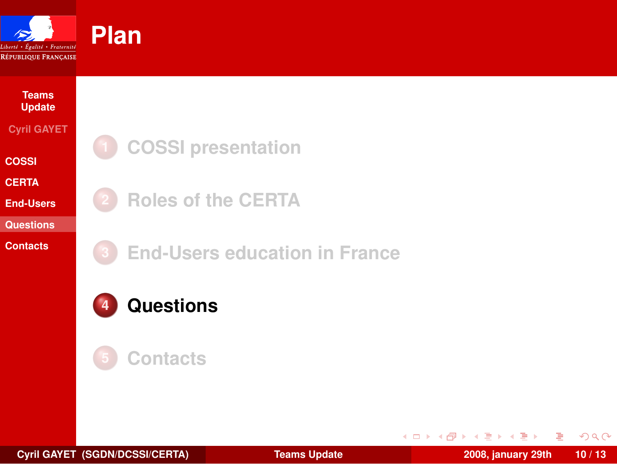

## **[Update](#page-0-0) Cyril GAYET [COSSI](#page-1-0)**

**Teams**

**[CERTA](#page-3-0)**

**[End-Users](#page-6-0)**

**[Questions](#page-9-0)**

**[Contacts](#page-11-0)**



**2 [Roles of the CERTA](#page-3-0)**

**3 [End-Users education in France](#page-6-0)**





**Cyril GAYET (SGDN/DCSSI/CERTA) [Teams Update](#page-0-0) 2008, january 29th 10 / 13**

Ε

<span id="page-9-0"></span> $299$ 

 $(1 + 4\sqrt{10}) + (1 + 2\sqrt{10}) + (1 + 2\sqrt{10})$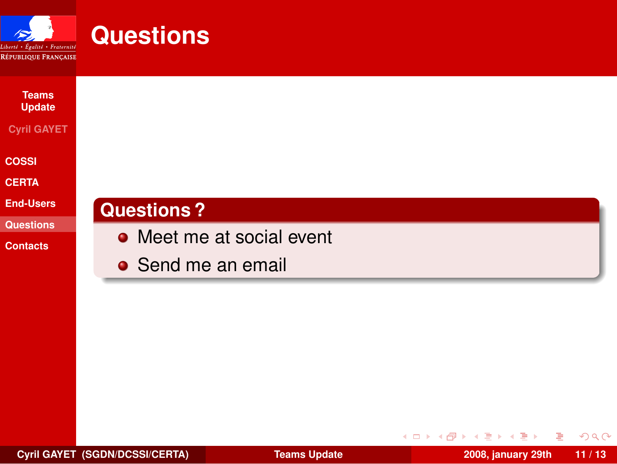

| <b>Teams</b><br><b>Update</b> |                           |
|-------------------------------|---------------------------|
| <b>Cyril GAYET</b>            |                           |
| <b>COSSI</b>                  |                           |
| <b>CERTA</b>                  |                           |
| <b>End-Users</b>              | <b>Questions?</b>         |
| <b>Questions</b>              | • Meet me at social event |
| <b>Contacts</b>               |                           |
|                               | • Send me an email        |

重

**K ロ ト K 御 ト K 君 ト K 君** 

<span id="page-10-0"></span> $299$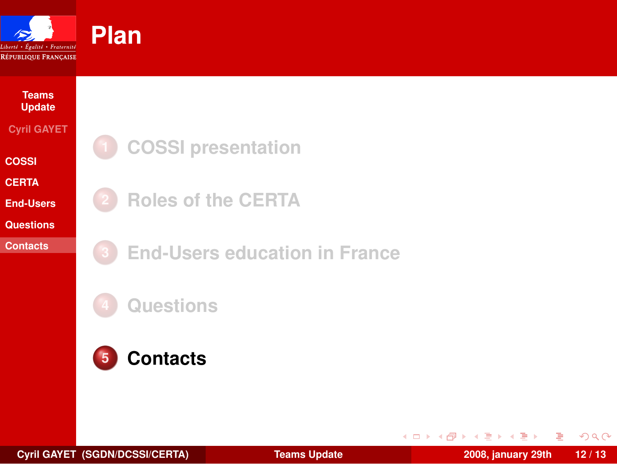

### **Teams [Update](#page-0-0) Cyril GAYET [COSSI](#page-1-0) [CERTA](#page-3-0)**

**[End-Users](#page-6-0)**

**[Questions](#page-9-0)**

**[Contacts](#page-11-0)**



**2 [Roles of the CERTA](#page-3-0)**

**3 [End-Users education in France](#page-6-0)**

**4 [Questions](#page-9-0)**



Ε

<span id="page-11-0"></span> $299$ 

 $(1 + 4\sqrt{10}) + (1 + 2\sqrt{10}) + (1 + 2\sqrt{10})$